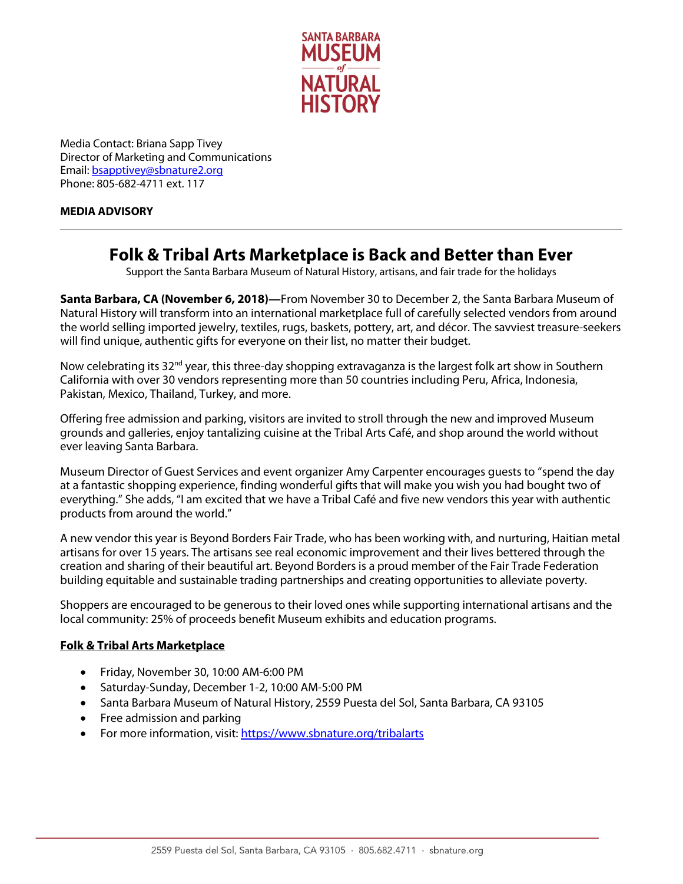

Media Contact: Briana Sapp Tivey Director of Marketing and Communications Email[: bsapptivey@sbnature2.org](mailto:bsapptivey@sbnature2.org) Phone: 805-682-4711 ext. 117

## **MEDIA ADVISORY**

## **Folk & Tribal Arts Marketplace is Back and Better than Ever**

Support the Santa Barbara Museum of Natural History, artisans, and fair trade for the holidays

**Santa Barbara, CA (November 6, 2018)—**From November 30 to December 2, the Santa Barbara Museum of Natural History will transform into an international marketplace full of carefully selected vendors from around the world selling imported jewelry, textiles, rugs, baskets, pottery, art, and décor. The savviest treasure-seekers will find unique, authentic gifts for everyone on their list, no matter their budget.

Now celebrating its 32<sup>nd</sup> year, this three-day shopping extravaganza is the largest folk art show in Southern California with over 30 vendors representing more than 50 countries including Peru, Africa, Indonesia, Pakistan, Mexico, Thailand, Turkey, and more.

Offering free admission and parking, visitors are invited to stroll through the new and improved Museum grounds and galleries, enjoy tantalizing cuisine at the Tribal Arts Café, and shop around the world without ever leaving Santa Barbara.

Museum Director of Guest Services and event organizer Amy Carpenter encourages guests to "spend the day at a fantastic shopping experience, finding wonderful gifts that will make you wish you had bought two of everything." She adds, "I am excited that we have a Tribal Café and five new vendors this year with authentic products from around the world."

A new vendor this year is Beyond Borders Fair Trade, who has been working with, and nurturing, Haitian metal artisans for over 15 years. The artisans see real economic improvement and their lives bettered through the creation and sharing of their beautiful art. Beyond Borders is a proud member of the Fair Trade Federation building equitable and sustainable trading partnerships and creating opportunities to alleviate poverty.

Shoppers are encouraged to be generous to their loved ones while supporting international artisans and the local community: 25% of proceeds benefit Museum exhibits and education programs.

## **Folk & Tribal Arts Marketplace**

- Friday, November 30, 10:00 AM-6:00 PM
- Saturday-Sunday, December 1-2, 10:00 AM-5:00 PM
- Santa Barbara Museum of Natural History, 2559 Puesta del Sol, Santa Barbara, CA 93105
- Free admission and parking
- For more information, visit:<https://www.sbnature.org/tribalarts>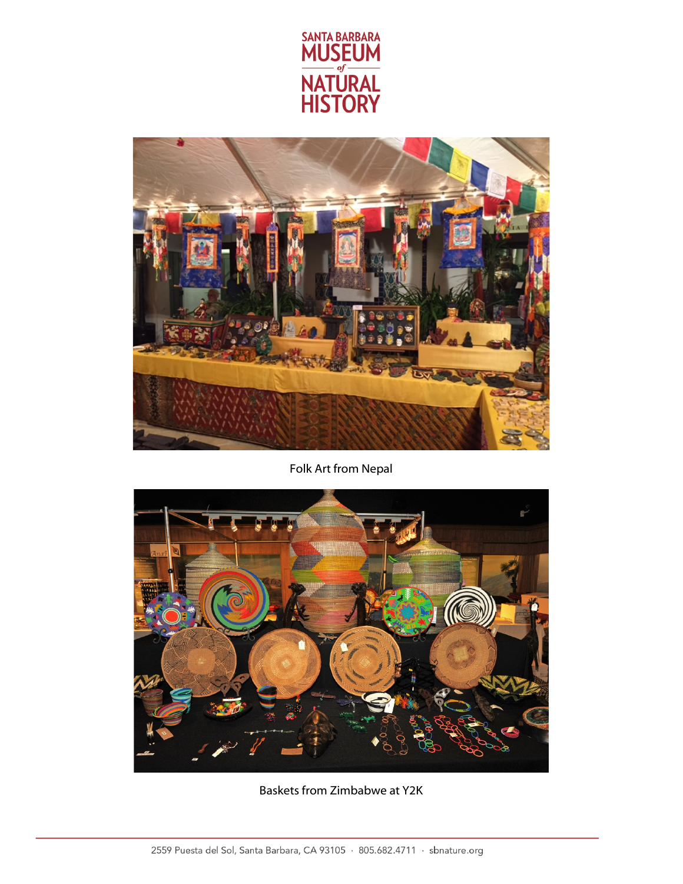



Folk Art from Nepal



Baskets from Zimbabwe at Y2K